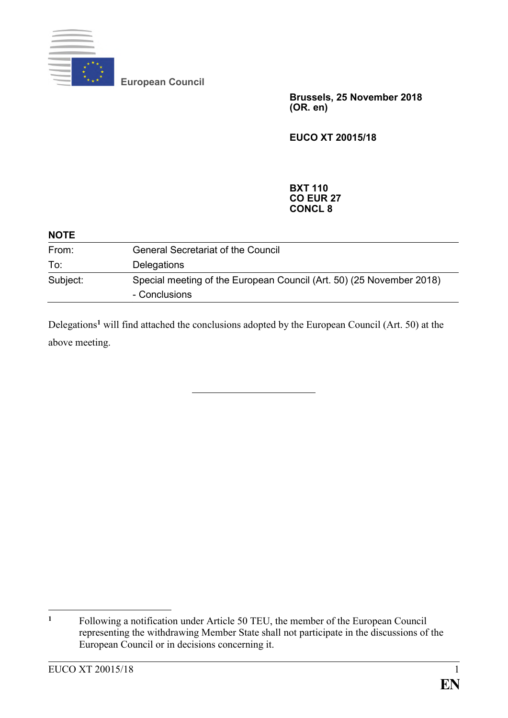

**European Council**

**Brussels, 25 November 2018 (OR. en)**

**EUCO XT 20015/18**

## **BXT 110 CO EUR 27 CONCL 8**

| <b>NOTE</b> |                                                                                       |
|-------------|---------------------------------------------------------------------------------------|
| From:       | <b>General Secretariat of the Council</b>                                             |
| To:         | Delegations                                                                           |
| Subject:    | Special meeting of the European Council (Art. 50) (25 November 2018)<br>- Conclusions |

Delegations**<sup>1</sup>** will find attached the conclusions adopted by the European Council (Art. 50) at the above meeting.

 $\mathbf{1}$ **<sup>1</sup>** Following a notification under Article 50 TEU, the member of the European Council representing the withdrawing Member State shall not participate in the discussions of the European Council or in decisions concerning it.